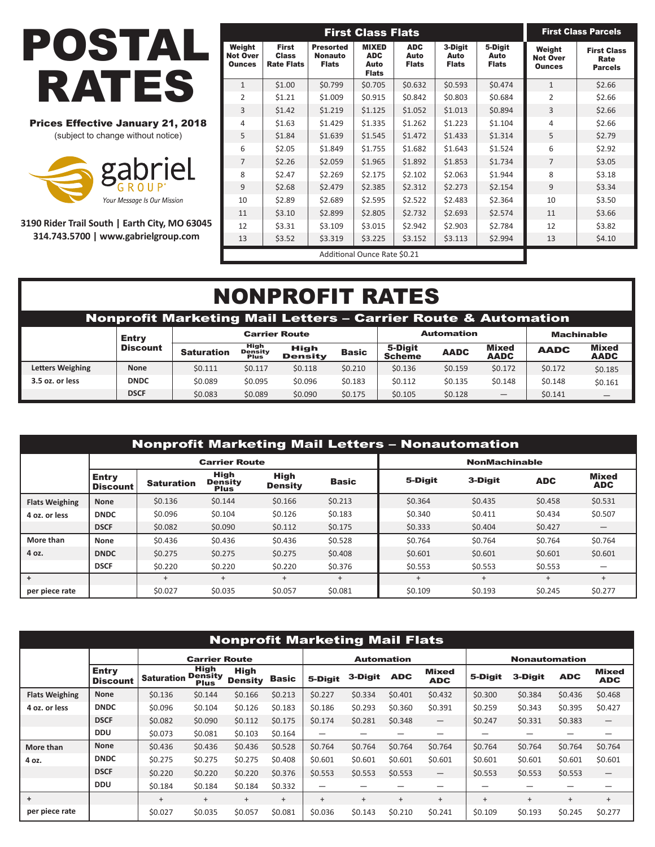

## Prices Effective January 21, 2018

(subject to change without notice)



**3190 Rider Trail South | Earth City, MO 63045 314.743.5700 | www.gabrielgroup.com**

|                                            |                                                   |                                                    | <b>First Class Flats</b>                           |                                    |                                 |                                 | <b>First Class Parcels</b>                 |                                              |  |
|--------------------------------------------|---------------------------------------------------|----------------------------------------------------|----------------------------------------------------|------------------------------------|---------------------------------|---------------------------------|--------------------------------------------|----------------------------------------------|--|
| Weight<br><b>Not Over</b><br><b>Ounces</b> | <b>First</b><br><b>Class</b><br><b>Rate Flats</b> | <b>Presorted</b><br><b>Nonauto</b><br><b>Flats</b> | <b>MIXED</b><br><b>ADC</b><br>Auto<br><b>Flats</b> | <b>ADC</b><br>Auto<br><b>Flats</b> | 3-Digit<br>Auto<br><b>Flats</b> | 5-Digit<br>Auto<br><b>Flats</b> | Weight<br><b>Not Over</b><br><b>Ounces</b> | <b>First Class</b><br>Rate<br><b>Parcels</b> |  |
| $\mathbf{1}$                               | \$1.00                                            | \$0.799                                            | \$0.705                                            | \$0.632                            | \$0.593                         | \$0.474                         | $\mathbf{1}$                               | \$2.66                                       |  |
| 2                                          | \$1.21                                            | \$1.009                                            | \$0.915                                            | \$0.842                            | \$0.803                         | \$0.684                         | 2                                          | \$2.66                                       |  |
| 3                                          | \$1.42                                            | \$1.219                                            | \$1.125                                            | \$1.052                            | \$1.013                         | \$0.894                         | 3                                          | \$2.66                                       |  |
| $\overline{4}$                             | \$1.63                                            | \$1.429                                            | \$1.335                                            | \$1.262                            | \$1.223                         | \$1.104                         | 4                                          | \$2.66                                       |  |
| 5                                          | \$1.84                                            | \$1.639                                            | \$1.545                                            | \$1.472                            | \$1.433                         | \$1.314                         | 5                                          | \$2.79                                       |  |
| 6                                          | \$2.05                                            | \$1.849                                            | \$1.755                                            | \$1.682                            | \$1.643                         | \$1.524                         | 6                                          | \$2.92                                       |  |
| $\overline{7}$                             | \$2.26                                            | \$2.059                                            | \$1.965                                            | \$1.892                            | \$1.853                         | \$1.734                         | $\overline{7}$                             | \$3.05                                       |  |
| 8                                          | \$2.47                                            | \$2.269                                            | \$2.175                                            | \$2.102                            | \$2.063                         | \$1.944                         | 8                                          | \$3.18                                       |  |
| 9                                          | \$2.68                                            | \$2.479                                            | \$2.385                                            | \$2.312                            | \$2.273                         | \$2.154                         | 9                                          | \$3.34                                       |  |
| 10                                         | \$2.89                                            | \$2.689                                            | \$2.595                                            | \$2.522                            | \$2.483                         | \$2.364                         | 10                                         | \$3.50                                       |  |
| 11                                         | \$3.10                                            | \$2.899                                            | \$2.805                                            | \$2.732                            | \$2.693                         | \$2.574                         | 11                                         | \$3.66                                       |  |
| 12                                         | \$3.31                                            | \$3.109                                            | \$3.015                                            | \$2.942                            | \$2.903                         | \$2.784                         | 12                                         | \$3.82                                       |  |
| 13                                         | \$3.52                                            | \$3.319                                            | \$3.225                                            | \$3.152                            | \$3.113                         | \$2.994                         | 13                                         | \$4.10                                       |  |
|                                            |                                                   |                                                    | Additional Ounce Rate \$0.21                       |                                    |                                 |                                 |                                            |                                              |  |

|                                                                          | <b>NONPROFIT RATES</b> |                   |                                |                        |              |                          |                   |                      |             |                      |  |  |  |
|--------------------------------------------------------------------------|------------------------|-------------------|--------------------------------|------------------------|--------------|--------------------------|-------------------|----------------------|-------------|----------------------|--|--|--|
| <b>Nonprofit Marketing Mail Letters - Carrier Route &amp; Automation</b> |                        |                   |                                |                        |              |                          |                   |                      |             |                      |  |  |  |
|                                                                          | Entry                  |                   |                                | <b>Carrier Route</b>   |              |                          | <b>Automation</b> | <b>Machinable</b>    |             |                      |  |  |  |
|                                                                          | <b>Discount</b>        | <b>Saturation</b> | High<br>Density<br><b>Plus</b> | High<br><b>Density</b> | <b>Basic</b> | 5-Diait<br><b>Scheme</b> | <b>AADC</b>       | Mixed<br><b>AADC</b> | <b>AADC</b> | Mixed<br><b>AADC</b> |  |  |  |
| <b>Letters Weighing</b>                                                  | <b>None</b>            | \$0.111           | \$0.117                        | \$0.118                | \$0.210      | \$0.136                  | \$0.159           | \$0.172              | \$0.172     | \$0.185              |  |  |  |
| 3.5 oz. or less                                                          | <b>DNDC</b>            | \$0.089           | \$0.095                        | \$0.096                | \$0.183      | \$0.112                  | \$0.135           | \$0.148              | \$0.148     | \$0.161              |  |  |  |
|                                                                          | <b>DSCF</b>            | \$0.083           | \$0.089                        | \$0.090                | \$0.175      | \$0.105                  | \$0.128           |                      | \$0.141     |                      |  |  |  |

|                       | <b>Nonprofit Marketing Mail Letters - Nonautomation</b> |                   |                                       |                               |              |         |                      |            |                            |  |  |  |  |  |
|-----------------------|---------------------------------------------------------|-------------------|---------------------------------------|-------------------------------|--------------|---------|----------------------|------------|----------------------------|--|--|--|--|--|
|                       |                                                         |                   | <b>Carrier Route</b>                  |                               |              |         | <b>NonMachinable</b> |            |                            |  |  |  |  |  |
|                       | <b>Entry</b><br><b>Discount</b>                         | <b>Saturation</b> | <b>High</b><br>Density<br><b>Plus</b> | <b>High</b><br><b>Density</b> | <b>Basic</b> | 5-Digit | 3-Digit              | <b>ADC</b> | <b>Mixed</b><br><b>ADC</b> |  |  |  |  |  |
| <b>Flats Weighing</b> | <b>None</b>                                             | \$0.136           | \$0.144                               | \$0.166                       | \$0.213      | \$0.364 | \$0.435              | \$0.458    | \$0.531                    |  |  |  |  |  |
| 4 oz. or less         | <b>DNDC</b>                                             | \$0.096           | \$0.104                               | \$0.126                       | \$0.183      | \$0.340 | \$0.411              | \$0.434    | \$0.507                    |  |  |  |  |  |
|                       | <b>DSCF</b>                                             | \$0.082           | \$0.090                               | \$0.112                       | \$0.175      | \$0.333 | \$0.404              | \$0.427    |                            |  |  |  |  |  |
| More than             | None                                                    | \$0.436           | \$0.436                               | \$0.436                       | \$0.528      | \$0.764 | \$0.764              | \$0.764    | \$0.764                    |  |  |  |  |  |
| 4 oz.                 | <b>DNDC</b>                                             | \$0.275           | \$0.275                               | \$0.275                       | \$0.408      | \$0.601 | \$0.601              | \$0.601    | \$0.601                    |  |  |  |  |  |
|                       | <b>DSCF</b>                                             | \$0.220           | \$0.220                               | \$0.220                       | \$0.376      | \$0.553 | \$0.553              | \$0.553    |                            |  |  |  |  |  |
|                       |                                                         | $\ddot{}$         | $\ddot{}$                             |                               |              |         | $^{+}$               | $+$        |                            |  |  |  |  |  |
| per piece rate        |                                                         | \$0.027           | \$0.035                               | \$0.057                       | \$0.081      | \$0.109 | \$0.193              | \$0.245    | \$0.277                    |  |  |  |  |  |

|                       | <b>Nonprofit Marketing Mail Flats</b> |                   |                                       |                               |              |                          |                   |            |                            |           |                      |            |                            |
|-----------------------|---------------------------------------|-------------------|---------------------------------------|-------------------------------|--------------|--------------------------|-------------------|------------|----------------------------|-----------|----------------------|------------|----------------------------|
|                       |                                       |                   | <b>Carrier Route</b>                  |                               |              |                          | <b>Automation</b> |            |                            |           | <b>Nonautomation</b> |            |                            |
|                       | <b>Entry</b><br><b>Discount</b>       | <b>Saturation</b> | High<br><b>Density</b><br><b>Plus</b> | <b>High</b><br><b>Density</b> | <b>Basic</b> | 5-Digit                  | 3-Digit           | <b>ADC</b> | <b>Mixed</b><br><b>ADC</b> | 5-Digit   | 3-Digit              | <b>ADC</b> | <b>Mixed</b><br><b>ADC</b> |
| <b>Flats Weighing</b> | <b>None</b>                           | \$0.136           | \$0.144                               | \$0.166                       | \$0.213      | \$0.227                  | \$0.334           | \$0.401    | \$0.432                    | \$0.300   | \$0.384              | \$0.436    | \$0.468                    |
| 4 oz. or less         | <b>DNDC</b>                           | \$0.096           | \$0.104                               | \$0.126                       | \$0.183      | \$0.186                  | \$0.293           | \$0.360    | \$0.391                    | \$0.259   | \$0.343              | \$0.395    | \$0.427                    |
|                       | <b>DSCF</b>                           | \$0.082           | \$0.090                               | \$0.112                       | \$0.175      | \$0.174                  | \$0.281           | \$0.348    | $\overline{\phantom{m}}$   | \$0.247   | \$0.331              | \$0.383    | $\overline{\phantom{m}}$   |
|                       | <b>DDU</b>                            | \$0.073           | \$0.081                               | \$0.103                       | \$0.164      | $\overline{\phantom{0}}$ |                   |            | –                          | –         |                      | –          | –                          |
| More than             | <b>None</b>                           | \$0.436           | \$0.436                               | \$0.436                       | \$0.528      | \$0.764                  | \$0.764           | \$0.764    | \$0.764                    | \$0.764   | \$0.764              | \$0.764    | \$0.764                    |
| 4 oz.                 | <b>DNDC</b>                           | \$0.275           | \$0.275                               | \$0.275                       | \$0.408      | \$0.601                  | \$0.601           | \$0.601    | \$0.601                    | \$0.601   | \$0.601              | \$0.601    | \$0.601                    |
|                       | <b>DSCF</b>                           | \$0.220           | \$0.220                               | \$0.220                       | \$0.376      | \$0.553                  | \$0.553           | \$0.553    |                            | \$0.553   | \$0.553              | \$0.553    |                            |
|                       | <b>DDU</b>                            | \$0.184           | \$0.184                               | \$0.184                       | \$0.332      | -                        |                   |            | –                          | -         |                      |            |                            |
| $\ddot{}$             |                                       | $\ddot{}$         | $+$                                   | $+$                           | $+$          | $+$                      | $+$               | $\ddot{}$  | $\overline{+}$             | $\ddot{}$ | $^{+}$               | $\ddot{}$  | $^{+}$                     |
| per piece rate        |                                       | \$0.027           | \$0.035                               | \$0.057                       | \$0.081      | \$0.036                  | \$0.143           | \$0.210    | \$0.241                    | \$0.109   | \$0.193              | \$0.245    | \$0.277                    |